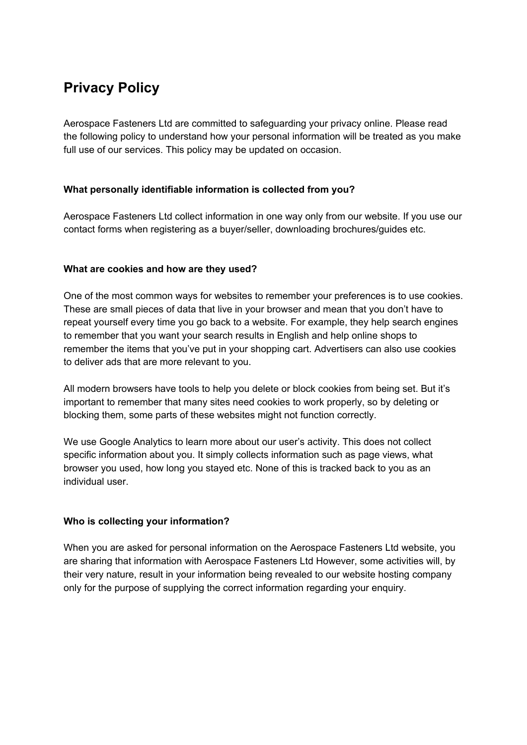# **Privacy Policy**

Aerospace Fasteners Ltd are committed to safeguarding your privacy online. Please read the following policy to understand how your personal information will be treated as you make full use of our services. This policy may be updated on occasion.

## **What personally identifiable information is collected from you?**

Aerospace Fasteners Ltd collect information in one way only from our website. If you use our contact forms when registering as a buyer/seller, downloading brochures/guides etc.

## **What are cookies and how are they used?**

One of the most common ways for websites to remember your preferences is to use cookies. These are small pieces of data that live in your browser and mean that you don't have to repeat yourself every time you go back to a website. For example, they help search engines to remember that you want your search results in English and help online shops to remember the items that you've put in your shopping cart. Advertisers can also use cookies to deliver ads that are more relevant to you.

All modern browsers have tools to help you delete or block cookies from being set. But it's important to remember that many sites need cookies to work properly, so by deleting or blocking them, some parts of these websites might not function correctly.

We use Google Analytics to learn more about our user's activity. This does not collect specific information about you. It simply collects information such as page views, what browser you used, how long you stayed etc. None of this is tracked back to you as an individual user.

## **Who is collecting your information?**

When you are asked for personal information on the Aerospace Fasteners Ltd website, you are sharing that information with Aerospace Fasteners Ltd However, some activities will, by their very nature, result in your information being revealed to our website hosting company only for the purpose of supplying the correct information regarding your enquiry.